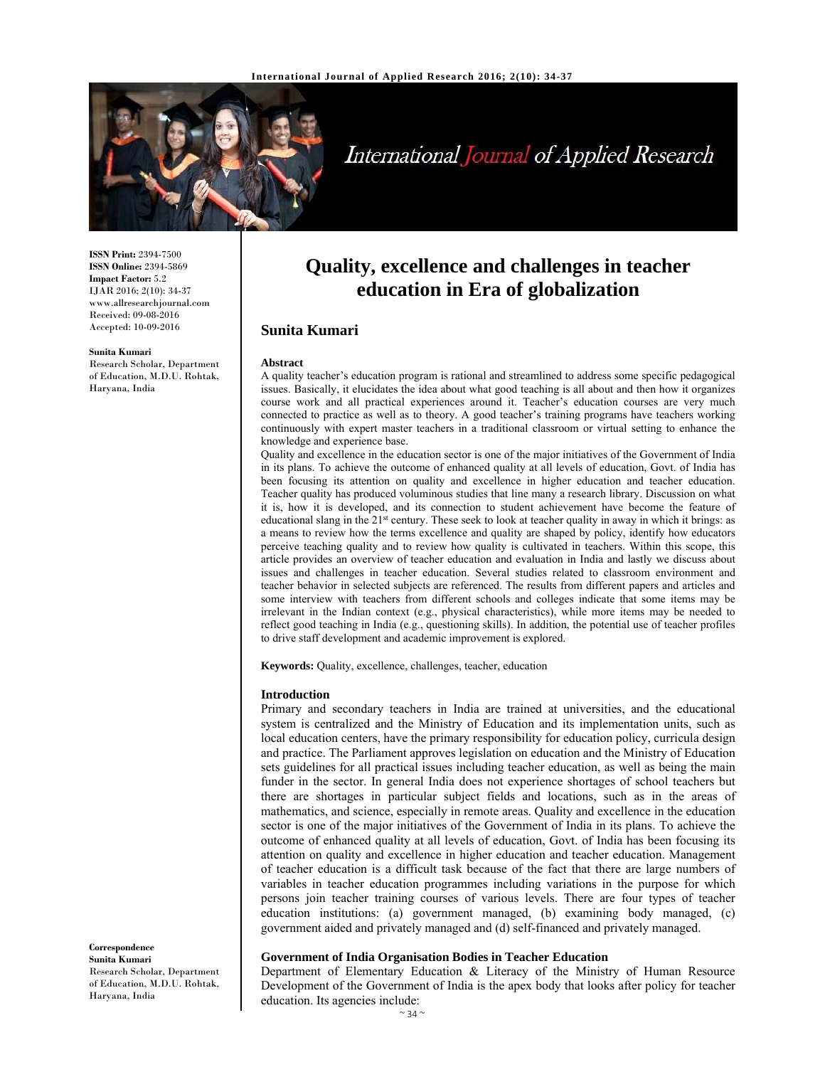

# International Journal of Applied Research

**ISSN Print:** 2394-7500 **ISSN Online:** 2394-5869 **Impact Factor:** 5.2 IJAR 2016; 2(10): 34-37 www.allresearchjournal.com Received: 09-08-2016 Accepted: 10-09-2016

#### **Sunita Kumari**

Research Scholar, Department of Education, M.D.U. Rohtak, Haryana, India

# **Quality, excellence and challenges in teacher education in Era of globalization**

## **Sunita Kumari**

#### **Abstract**

A quality teacher's education program is rational and streamlined to address some specific pedagogical issues. Basically, it elucidates the idea about what good teaching is all about and then how it organizes course work and all practical experiences around it. Teacher's education courses are very much connected to practice as well as to theory. A good teacher's training programs have teachers working continuously with expert master teachers in a traditional classroom or virtual setting to enhance the knowledge and experience base.

Quality and excellence in the education sector is one of the major initiatives of the Government of India in its plans. To achieve the outcome of enhanced quality at all levels of education, Govt. of India has been focusing its attention on quality and excellence in higher education and teacher education. Teacher quality has produced voluminous studies that line many a research library. Discussion on what it is, how it is developed, and its connection to student achievement have become the feature of educational slang in the 21<sup>st</sup> century. These seek to look at teacher quality in away in which it brings: as a means to review how the terms excellence and quality are shaped by policy, identify how educators perceive teaching quality and to review how quality is cultivated in teachers. Within this scope, this article provides an overview of teacher education and evaluation in India and lastly we discuss about issues and challenges in teacher education. Several studies related to classroom environment and teacher behavior in selected subjects are referenced. The results from different papers and articles and some interview with teachers from different schools and colleges indicate that some items may be irrelevant in the Indian context (e.g., physical characteristics), while more items may be needed to reflect good teaching in India (e.g., questioning skills). In addition, the potential use of teacher profiles to drive staff development and academic improvement is explored.

**Keywords:** Quality, excellence, challenges, teacher, education

#### **Introduction**

Primary and secondary teachers in India are trained at universities, and the educational system is centralized and the Ministry of Education and its implementation units, such as local education centers, have the primary responsibility for education policy, curricula design and practice. The Parliament approves legislation on education and the Ministry of Education sets guidelines for all practical issues including teacher education, as well as being the main funder in the sector. In general India does not experience shortages of school teachers but there are shortages in particular subject fields and locations, such as in the areas of mathematics, and science, especially in remote areas. Quality and excellence in the education sector is one of the major initiatives of the Government of India in its plans. To achieve the outcome of enhanced quality at all levels of education, Govt. of India has been focusing its attention on quality and excellence in higher education and teacher education. Management of teacher education is a difficult task because of the fact that there are large numbers of variables in teacher education programmes including variations in the purpose for which persons join teacher training courses of various levels. There are four types of teacher education institutions: (a) government managed, (b) examining body managed, (c) government aided and privately managed and (d) self-financed and privately managed.

#### **Government of India Organisation Bodies in Teacher Education**

Department of Elementary Education & Literacy of the Ministry of Human Resource Development of the Government of India is the apex body that looks after policy for teacher education. Its agencies include:

**Correspondence Sunita Kumari**  Research Scholar, Department of Education, M.D.U. Rohtak, Haryana, India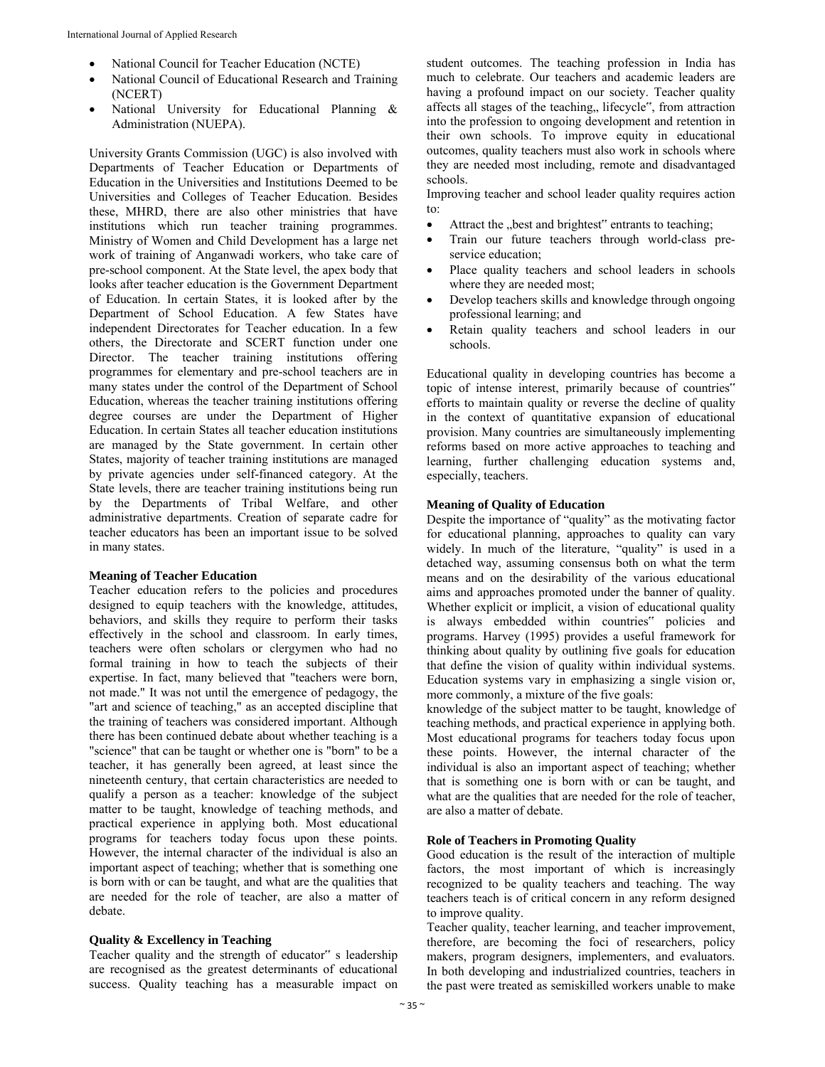- National Council for Teacher Education (NCTE)
- National Council of Educational Research and Training (NCERT)
- National University for Educational Planning & Administration (NUEPA).

University Grants Commission (UGC) is also involved with Departments of Teacher Education or Departments of Education in the Universities and Institutions Deemed to be Universities and Colleges of Teacher Education. Besides these, MHRD, there are also other ministries that have institutions which run teacher training programmes. Ministry of Women and Child Development has a large net work of training of Anganwadi workers, who take care of pre-school component. At the State level, the apex body that looks after teacher education is the Government Department of Education. In certain States, it is looked after by the Department of School Education. A few States have independent Directorates for Teacher education. In a few others, the Directorate and SCERT function under one Director. The teacher training institutions offering programmes for elementary and pre-school teachers are in many states under the control of the Department of School Education, whereas the teacher training institutions offering degree courses are under the Department of Higher Education. In certain States all teacher education institutions are managed by the State government. In certain other States, majority of teacher training institutions are managed by private agencies under self-financed category. At the State levels, there are teacher training institutions being run by the Departments of Tribal Welfare, and other administrative departments. Creation of separate cadre for teacher educators has been an important issue to be solved in many states.

#### **Meaning of Teacher Education**

Teacher education refers to the policies and procedures designed to equip teachers with the knowledge, attitudes, behaviors, and skills they require to perform their tasks effectively in the school and classroom. In early times, teachers were often scholars or clergymen who had no formal training in how to teach the subjects of their expertise. In fact, many believed that "teachers were born, not made." It was not until the emergence of pedagogy, the "art and science of teaching," as an accepted discipline that the training of teachers was considered important. Although there has been continued debate about whether teaching is a "science" that can be taught or whether one is "born" to be a teacher, it has generally been agreed, at least since the nineteenth century, that certain characteristics are needed to qualify a person as a teacher: knowledge of the subject matter to be taught, knowledge of teaching methods, and practical experience in applying both. Most educational programs for teachers today focus upon these points. However, the internal character of the individual is also an important aspect of teaching; whether that is something one is born with or can be taught, and what are the qualities that are needed for the role of teacher, are also a matter of debate.

### **Quality & Excellency in Teaching**

Teacher quality and the strength of educator" s leadership are recognised as the greatest determinants of educational success. Quality teaching has a measurable impact on

student outcomes. The teaching profession in India has much to celebrate. Our teachers and academic leaders are having a profound impact on our society. Teacher quality affects all stages of the teaching, lifecycle", from attraction into the profession to ongoing development and retention in their own schools. To improve equity in educational outcomes, quality teachers must also work in schools where they are needed most including, remote and disadvantaged schools.

Improving teacher and school leader quality requires action to:

- Attract the "best and brightest" entrants to teaching;
- Train our future teachers through world-class preservice education;
- Place quality teachers and school leaders in schools where they are needed most;
- Develop teachers skills and knowledge through ongoing professional learning; and
- Retain quality teachers and school leaders in our schools.

Educational quality in developing countries has become a topic of intense interest, primarily because of countries" efforts to maintain quality or reverse the decline of quality in the context of quantitative expansion of educational provision. Many countries are simultaneously implementing reforms based on more active approaches to teaching and learning, further challenging education systems and, especially, teachers.

#### **Meaning of Quality of Education**

Despite the importance of "quality" as the motivating factor for educational planning, approaches to quality can vary widely. In much of the literature, "quality" is used in a detached way, assuming consensus both on what the term means and on the desirability of the various educational aims and approaches promoted under the banner of quality. Whether explicit or implicit, a vision of educational quality is always embedded within countries" policies and programs. Harvey (1995) provides a useful framework for thinking about quality by outlining five goals for education that define the vision of quality within individual systems. Education systems vary in emphasizing a single vision or, more commonly, a mixture of the five goals:

knowledge of the subject matter to be taught, knowledge of teaching methods, and practical experience in applying both. Most educational programs for teachers today focus upon these points. However, the internal character of the individual is also an important aspect of teaching; whether that is something one is born with or can be taught, and what are the qualities that are needed for the role of teacher, are also a matter of debate.

#### **Role of Teachers in Promoting Quality**

Good education is the result of the interaction of multiple factors, the most important of which is increasingly recognized to be quality teachers and teaching. The way teachers teach is of critical concern in any reform designed to improve quality.

Teacher quality, teacher learning, and teacher improvement, therefore, are becoming the foci of researchers, policy makers, program designers, implementers, and evaluators. In both developing and industrialized countries, teachers in the past were treated as semiskilled workers unable to make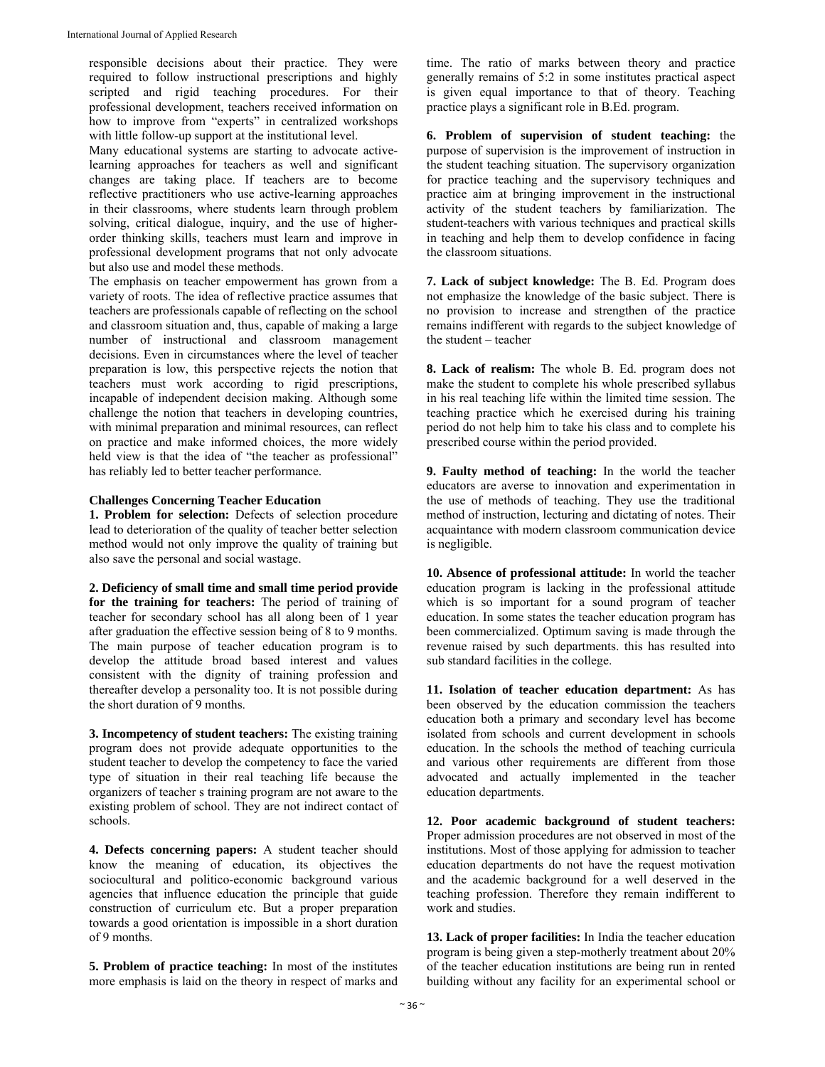responsible decisions about their practice. They were required to follow instructional prescriptions and highly scripted and rigid teaching procedures. For their professional development, teachers received information on how to improve from "experts" in centralized workshops with little follow-up support at the institutional level.

Many educational systems are starting to advocate activelearning approaches for teachers as well and significant changes are taking place. If teachers are to become reflective practitioners who use active-learning approaches in their classrooms, where students learn through problem solving, critical dialogue, inquiry, and the use of higherorder thinking skills, teachers must learn and improve in professional development programs that not only advocate but also use and model these methods.

The emphasis on teacher empowerment has grown from a variety of roots. The idea of reflective practice assumes that teachers are professionals capable of reflecting on the school and classroom situation and, thus, capable of making a large number of instructional and classroom management decisions. Even in circumstances where the level of teacher preparation is low, this perspective rejects the notion that teachers must work according to rigid prescriptions, incapable of independent decision making. Although some challenge the notion that teachers in developing countries, with minimal preparation and minimal resources, can reflect on practice and make informed choices, the more widely held view is that the idea of "the teacher as professional" has reliably led to better teacher performance.

#### **Challenges Concerning Teacher Education**

**1. Problem for selection:** Defects of selection procedure lead to deterioration of the quality of teacher better selection method would not only improve the quality of training but also save the personal and social wastage.

**2. Deficiency of small time and small time period provide for the training for teachers:** The period of training of teacher for secondary school has all along been of 1 year after graduation the effective session being of 8 to 9 months. The main purpose of teacher education program is to develop the attitude broad based interest and values consistent with the dignity of training profession and thereafter develop a personality too. It is not possible during the short duration of 9 months.

**3. Incompetency of student teachers:** The existing training program does not provide adequate opportunities to the student teacher to develop the competency to face the varied type of situation in their real teaching life because the organizers of teacher s training program are not aware to the existing problem of school. They are not indirect contact of schools.

**4. Defects concerning papers:** A student teacher should know the meaning of education, its objectives the sociocultural and politico-economic background various agencies that influence education the principle that guide construction of curriculum etc. But a proper preparation towards a good orientation is impossible in a short duration of 9 months.

**5. Problem of practice teaching:** In most of the institutes more emphasis is laid on the theory in respect of marks and time. The ratio of marks between theory and practice generally remains of 5:2 in some institutes practical aspect is given equal importance to that of theory. Teaching practice plays a significant role in B.Ed. program.

**6. Problem of supervision of student teaching:** the purpose of supervision is the improvement of instruction in the student teaching situation. The supervisory organization for practice teaching and the supervisory techniques and practice aim at bringing improvement in the instructional activity of the student teachers by familiarization. The student-teachers with various techniques and practical skills in teaching and help them to develop confidence in facing the classroom situations.

**7. Lack of subject knowledge:** The B. Ed. Program does not emphasize the knowledge of the basic subject. There is no provision to increase and strengthen of the practice remains indifferent with regards to the subject knowledge of the student – teacher

**8. Lack of realism:** The whole B. Ed. program does not make the student to complete his whole prescribed syllabus in his real teaching life within the limited time session. The teaching practice which he exercised during his training period do not help him to take his class and to complete his prescribed course within the period provided.

**9. Faulty method of teaching:** In the world the teacher educators are averse to innovation and experimentation in the use of methods of teaching. They use the traditional method of instruction, lecturing and dictating of notes. Their acquaintance with modern classroom communication device is negligible.

**10. Absence of professional attitude:** In world the teacher education program is lacking in the professional attitude which is so important for a sound program of teacher education. In some states the teacher education program has been commercialized. Optimum saving is made through the revenue raised by such departments. this has resulted into sub standard facilities in the college.

**11. Isolation of teacher education department:** As has been observed by the education commission the teachers education both a primary and secondary level has become isolated from schools and current development in schools education. In the schools the method of teaching curricula and various other requirements are different from those advocated and actually implemented in the teacher education departments.

**12. Poor academic background of student teachers:**  Proper admission procedures are not observed in most of the institutions. Most of those applying for admission to teacher education departments do not have the request motivation and the academic background for a well deserved in the teaching profession. Therefore they remain indifferent to work and studies.

**13. Lack of proper facilities:** In India the teacher education program is being given a step-motherly treatment about 20% of the teacher education institutions are being run in rented building without any facility for an experimental school or